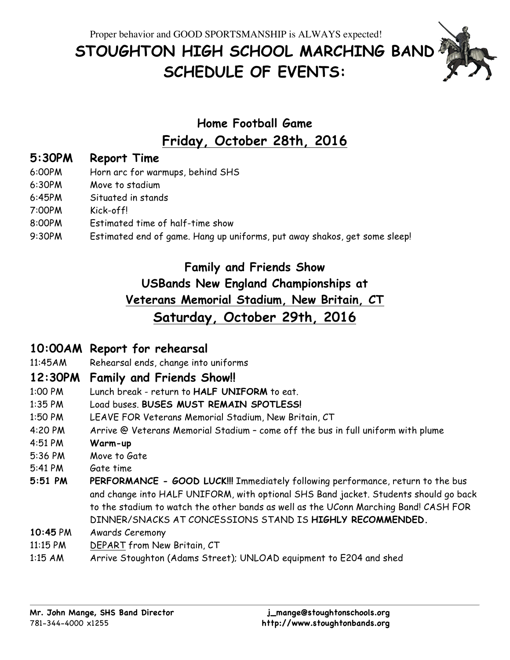Proper behavior and GOOD SPORTSMANSHIP is ALWAYS expected!

# **STOUGHTON HIGH SCHOOL MARCHING BAND SCHEDULE OF EVENTS:**



## **Home Football Game Friday, October 28th, 2016**

## **5:30PM Report Time**

- 6:00PM Horn arc for warmups, behind SHS
- 6:30PM Move to stadium
- 6:45PM Situated in stands
- 7:00PM Kick-off!
- 8:00PM Estimated time of half-time show
- 9:30PM Estimated end of game. Hang up uniforms, put away shakos, get some sleep!

## **Family and Friends Show USBands New England Championships at Veterans Memorial Stadium, New Britain, CT Saturday, October 29th, 2016**

## **10:00AM Report for rehearsal**

11:45AM Rehearsal ends, change into uniforms

## **12:30PM Family and Friends Show!!**

- 1:00 PM Lunch break return to **HALF UNIFORM** to eat.
- 1:35 PM Load buses. **BUSES MUST REMAIN SPOTLESS!**
- 1:50 PM LEAVE FOR Veterans Memorial Stadium, New Britain, CT
- 4:20 PM Arrive @ Veterans Memorial Stadium come off the bus in full uniform with plume
- 4:51 PM **Warm-up**
- 5:36 PM Move to Gate
- 5:41 PM Gate time
- **5:51 PM PERFORMANCE - GOOD LUCK!!!** Immediately following performance, return to the bus and change into HALF UNIFORM, with optional SHS Band jacket. Students should go back to the stadium to watch the other bands as well as the UConn Marching Band! CASH FOR DINNER/SNACKS AT CONCESSIONS STAND IS **HIGHLY RECOMMENDED.**
- **10:45** PM Awards Ceremony
- 11:15 PM DEPART from New Britain, CT
- 1:15 AM Arrive Stoughton (Adams Street); UNLOAD equipment to E204 and shed